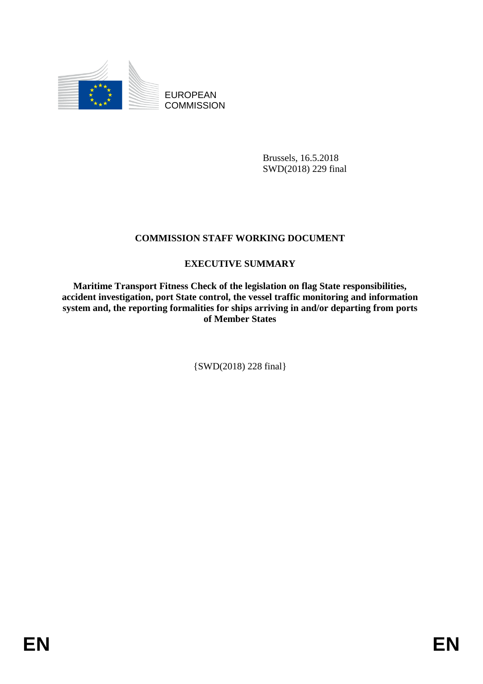

EUROPEAN **COMMISSION** 

> Brussels, 16.5.2018 SWD(2018) 229 final

## **COMMISSION STAFF WORKING DOCUMENT**

## **EXECUTIVE SUMMARY**

**Maritime Transport Fitness Check of the legislation on flag State responsibilities, accident investigation, port State control, the vessel traffic monitoring and information system and, the reporting formalities for ships arriving in and/or departing from ports of Member States**

{SWD(2018) 228 final}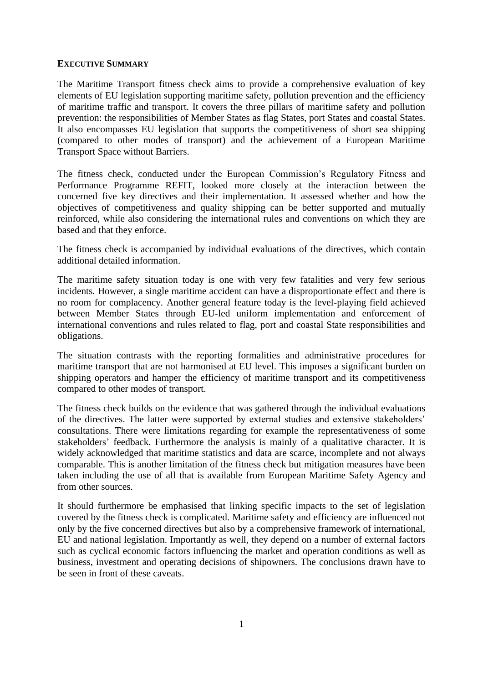## **EXECUTIVE SUMMARY**

The Maritime Transport fitness check aims to provide a comprehensive evaluation of key elements of EU legislation supporting maritime safety, pollution prevention and the efficiency of maritime traffic and transport. It covers the three pillars of maritime safety and pollution prevention: the responsibilities of Member States as flag States, port States and coastal States. It also encompasses EU legislation that supports the competitiveness of short sea shipping (compared to other modes of transport) and the achievement of a European Maritime Transport Space without Barriers.

The fitness check, conducted under the European Commission's Regulatory Fitness and Performance Programme REFIT, looked more closely at the interaction between the concerned five key directives and their implementation. It assessed whether and how the objectives of competitiveness and quality shipping can be better supported and mutually reinforced, while also considering the international rules and conventions on which they are based and that they enforce.

The fitness check is accompanied by individual evaluations of the directives, which contain additional detailed information.

The maritime safety situation today is one with very few fatalities and very few serious incidents. However, a single maritime accident can have a disproportionate effect and there is no room for complacency. Another general feature today is the level-playing field achieved between Member States through EU-led uniform implementation and enforcement of international conventions and rules related to flag, port and coastal State responsibilities and obligations.

The situation contrasts with the reporting formalities and administrative procedures for maritime transport that are not harmonised at EU level. This imposes a significant burden on shipping operators and hamper the efficiency of maritime transport and its competitiveness compared to other modes of transport.

The fitness check builds on the evidence that was gathered through the individual evaluations of the directives. The latter were supported by external studies and extensive stakeholders' consultations. There were limitations regarding for example the representativeness of some stakeholders' feedback. Furthermore the analysis is mainly of a qualitative character. It is widely acknowledged that maritime statistics and data are scarce, incomplete and not always comparable. This is another limitation of the fitness check but mitigation measures have been taken including the use of all that is available from European Maritime Safety Agency and from other sources.

It should furthermore be emphasised that linking specific impacts to the set of legislation covered by the fitness check is complicated. Maritime safety and efficiency are influenced not only by the five concerned directives but also by a comprehensive framework of international, EU and national legislation. Importantly as well, they depend on a number of external factors such as cyclical economic factors influencing the market and operation conditions as well as business, investment and operating decisions of shipowners. The conclusions drawn have to be seen in front of these caveats.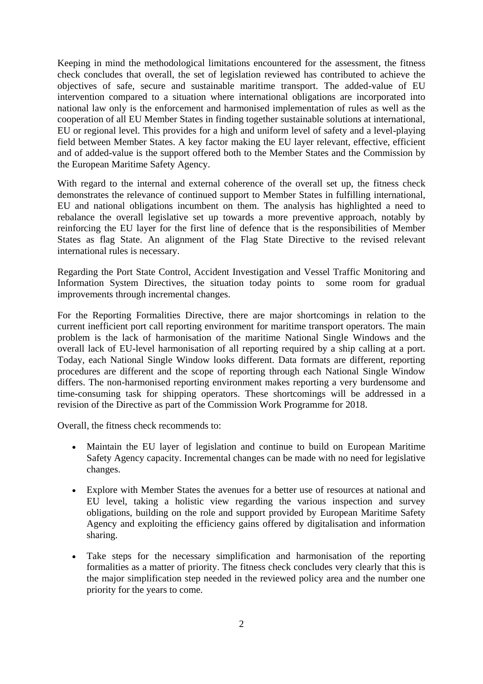Keeping in mind the methodological limitations encountered for the assessment, the fitness check concludes that overall, the set of legislation reviewed has contributed to achieve the objectives of safe, secure and sustainable maritime transport. The added-value of EU intervention compared to a situation where international obligations are incorporated into national law only is the enforcement and harmonised implementation of rules as well as the cooperation of all EU Member States in finding together sustainable solutions at international, EU or regional level. This provides for a high and uniform level of safety and a level-playing field between Member States. A key factor making the EU layer relevant, effective, efficient and of added-value is the support offered both to the Member States and the Commission by the European Maritime Safety Agency.

With regard to the internal and external coherence of the overall set up, the fitness check demonstrates the relevance of continued support to Member States in fulfilling international, EU and national obligations incumbent on them. The analysis has highlighted a need to rebalance the overall legislative set up towards a more preventive approach, notably by reinforcing the EU layer for the first line of defence that is the responsibilities of Member States as flag State. An alignment of the Flag State Directive to the revised relevant international rules is necessary.

Regarding the Port State Control, Accident Investigation and Vessel Traffic Monitoring and Information System Directives, the situation today points to some room for gradual improvements through incremental changes.

For the Reporting Formalities Directive, there are major shortcomings in relation to the current inefficient port call reporting environment for maritime transport operators. The main problem is the lack of harmonisation of the maritime National Single Windows and the overall lack of EU-level harmonisation of all reporting required by a ship calling at a port. Today, each National Single Window looks different. Data formats are different, reporting procedures are different and the scope of reporting through each National Single Window differs. The non-harmonised reporting environment makes reporting a very burdensome and time-consuming task for shipping operators. These shortcomings will be addressed in a revision of the Directive as part of the Commission Work Programme for 2018.

Overall, the fitness check recommends to:

- Maintain the EU layer of legislation and continue to build on European Maritime Safety Agency capacity. Incremental changes can be made with no need for legislative changes.
- Explore with Member States the avenues for a better use of resources at national and EU level, taking a holistic view regarding the various inspection and survey obligations, building on the role and support provided by European Maritime Safety Agency and exploiting the efficiency gains offered by digitalisation and information sharing.
- Take steps for the necessary simplification and harmonisation of the reporting formalities as a matter of priority. The fitness check concludes very clearly that this is the major simplification step needed in the reviewed policy area and the number one priority for the years to come.